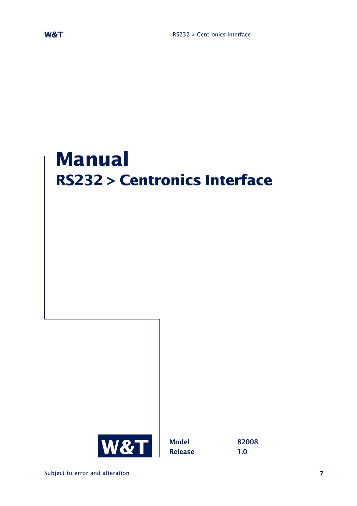# **Manual RS232 > Centronics Interface**

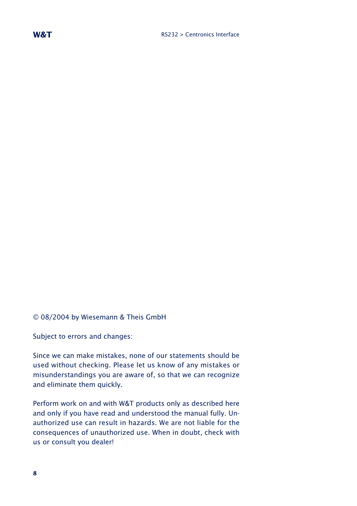© 08/2004 by Wiesemann & Theis GmbH

Subject to errors and changes:

Since we can make mistakes, none of our statements should be used without checking. Please let us know of any mistakes or misunderstandings you are aware of, so that we can recognize and eliminate them quickly.

Perform work on and with W&T products only as described here and only if you have read and understood the manual fully. Unauthorized use can result in hazards. We are not liable for the consequences of unauthorized use. When in doubt, check with us or consult you dealer!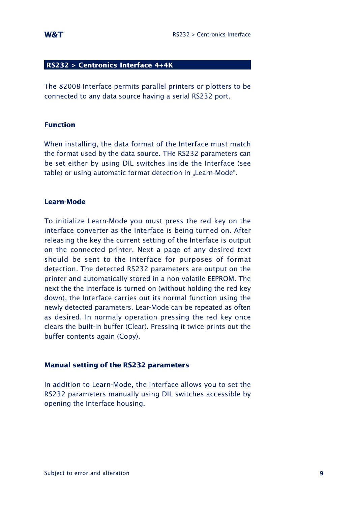#### **RS232 > Centronics Interface 4+4K**

The 82008 Interface permits parallel printers or plotters to be connected to any data source having a serial RS232 port.

#### **Function**

When installing, the data format of the Interface must match the format used by the data source. THe RS232 parameters can be set either by using DIL switches inside the Interface (see table) or using automatic format detection in "Learn-Mode".

#### **Learn-Mode**

To initialize Learn-Mode you must press the red key on the interface converter as the Interface is being turned on. After releasing the key the current setting of the Interface is output on the connected printer. Next a page of any desired text should be sent to the Interface for purposes of format detection. The detected RS232 parameters are output on the printer and automatically stored in a non-volatile EEPROM. The next the the Interface is turned on (without holding the red key down), the Interface carries out its normal function using the newly detected parameters. Lear-Mode can be repeated as often as desired. In normaly operation pressing the red key once clears the built-in buffer (Clear). Pressing it twice prints out the buffer contents again (Copy).

#### **Manual setting of the RS232 parameters**

In addition to Learn-Mode, the Interface allows you to set the RS232 parameters manually using DIL switches accessible by opening the Interface housing.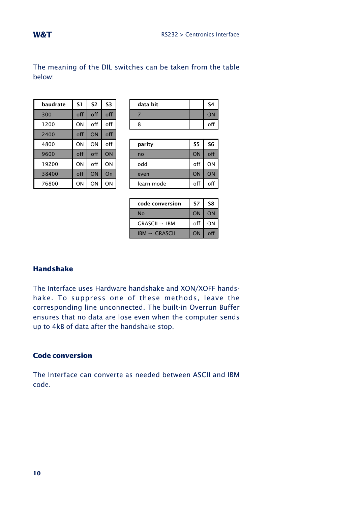The meaning of the DIL switches can be taken from the table below:

| baudrate | S1  | S <sub>2</sub> | <b>S3</b> |
|----------|-----|----------------|-----------|
| 300      | off | off            | off       |
| 1200     | ON  | off            | off       |
| 2400     | off | ON             | off       |
| 4800     | ON  | ON             | off       |
| 9600     | off | of f           | ON        |
| 19200    | ON  | off            | ON        |
| 38400    | off | ON             | On        |
| 76800    | ON  | ON             | ON        |

| baudrate | S1  | c d | S3   | data bit | S4 |
|----------|-----|-----|------|----------|----|
| 300      | off | off |      |          |    |
| 1200     | ON  | off | ءء ۔ |          |    |

| 4800  | ON  | ON  | off | parity     | S5  | S6  |
|-------|-----|-----|-----|------------|-----|-----|
| 9600  | off | off | ON  | no         | ON  | off |
| 19200 | ON  | off | ON  | odd        | off | ON  |
| 38400 | off | ON  | On  | even       | ON  | ON  |
| 76800 | ΟN  | ΟN  | ON  | learn mode | off | off |

| code conversion          | 57  | S8 |
|--------------------------|-----|----|
| No                       | ON  | ON |
| $GRASCH \rightarrow IBM$ | off | ΟN |
| $IBM \rightarrow GRASCH$ | ON  |    |

### **Handshake**

The Interface uses Hardware handshake and XON/XOFF handshake. To suppress one of these methods, leave the corresponding line unconnected. The built-in Overrun Buffer ensures that no data are lose even when the computer sends up to 4kB of data after the handshake stop.

## **Code conversion**

The Interface can converte as needed between ASCII and IBM code.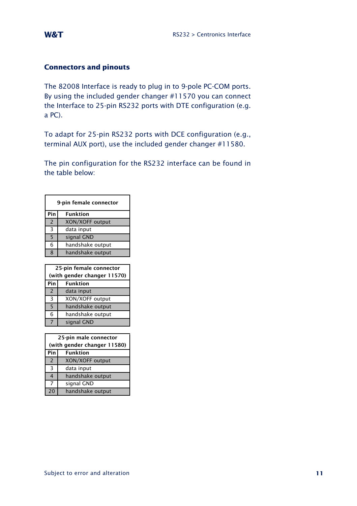### **Connectors and pinouts**

The 82008 Interface is ready to plug in to 9-pole PC-COM ports. By using the included gender changer #11570 you can connect the Interface to 25-pin RS232 ports with DTE configuration (e.g. a PC).

To adapt for 25-pin RS232 ports with DCE configuration (e.g., terminal AUX port), use the included gender changer #11580.

The pin configuration for the RS232 interface can be found in the table below:

| 9-pin female connector |                             |  |
|------------------------|-----------------------------|--|
| Pin                    | <b>Funktion</b>             |  |
| $\overline{2}$         | XON/XOFF output             |  |
| 3                      | data input                  |  |
| 5                      | signal GND                  |  |
| 6                      | handshake output            |  |
| 8                      | handshake output            |  |
|                        |                             |  |
|                        |                             |  |
|                        | 25-pin female connector     |  |
|                        | (with gender changer 11570) |  |
| Pin                    | <b>Funktion</b>             |  |
| $\overline{2}$         | data input                  |  |
| 3                      | XON/XOFF output             |  |
| 5                      | handshake output            |  |
| 6                      | handshake output            |  |

| 25-pin male connector |                             |  |  |
|-----------------------|-----------------------------|--|--|
|                       | (with gender changer 11580) |  |  |
| Pin                   | <b>Funktion</b>             |  |  |
| $\overline{2}$        | XON/XOFF output             |  |  |
| 3                     | data input                  |  |  |
| 4                     | handshake output            |  |  |
| 7                     | signal GND                  |  |  |
| 20                    | handshake output            |  |  |